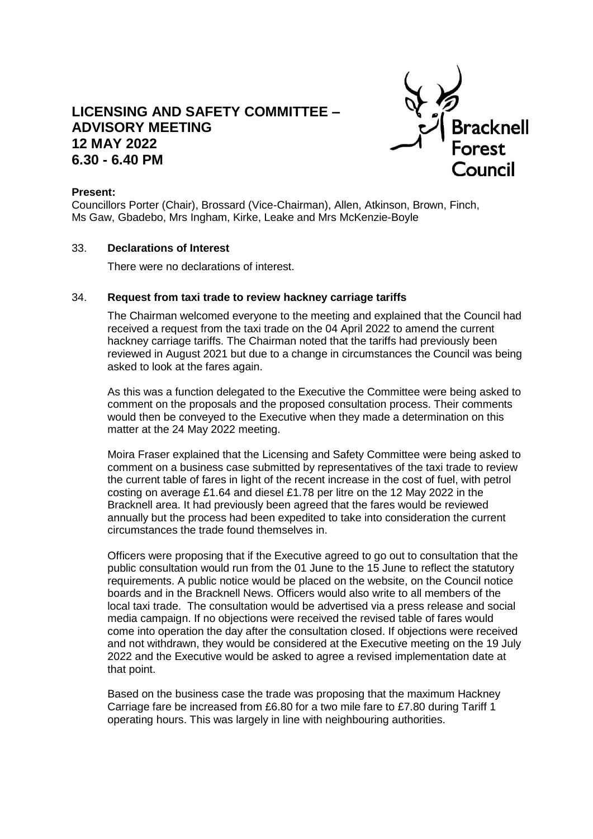# **LICENSING AND SAFETY COMMITTEE – ADVISORY MEETING 12 MAY 2022 6.30 - 6.40 PM**



# **Present:**

Councillors Porter (Chair), Brossard (Vice-Chairman), Allen, Atkinson, Brown, Finch, Ms Gaw, Gbadebo, Mrs Ingham, Kirke, Leake and Mrs McKenzie-Boyle

### 33. **Declarations of Interest**

There were no declarations of interest.

#### 34. **Request from taxi trade to review hackney carriage tariffs**

The Chairman welcomed everyone to the meeting and explained that the Council had received a request from the taxi trade on the 04 April 2022 to amend the current hackney carriage tariffs. The Chairman noted that the tariffs had previously been reviewed in August 2021 but due to a change in circumstances the Council was being asked to look at the fares again.

As this was a function delegated to the Executive the Committee were being asked to comment on the proposals and the proposed consultation process. Their comments would then be conveyed to the Executive when they made a determination on this matter at the 24 May 2022 meeting.

Moira Fraser explained that the Licensing and Safety Committee were being asked to comment on a business case submitted by representatives of the taxi trade to review the current table of fares in light of the recent increase in the cost of fuel, with petrol costing on average £1.64 and diesel £1.78 per litre on the 12 May 2022 in the Bracknell area. It had previously been agreed that the fares would be reviewed annually but the process had been expedited to take into consideration the current circumstances the trade found themselves in.

Officers were proposing that if the Executive agreed to go out to consultation that the public consultation would run from the 01 June to the 15 June to reflect the statutory requirements. A public notice would be placed on the website, on the Council notice boards and in the Bracknell News. Officers would also write to all members of the local taxi trade. The consultation would be advertised via a press release and social media campaign. If no objections were received the revised table of fares would come into operation the day after the consultation closed. If objections were received and not withdrawn, they would be considered at the Executive meeting on the 19 July 2022 and the Executive would be asked to agree a revised implementation date at that point.

Based on the business case the trade was proposing that the maximum Hackney Carriage fare be increased from £6.80 for a two mile fare to £7.80 during Tariff 1 operating hours. This was largely in line with neighbouring authorities.